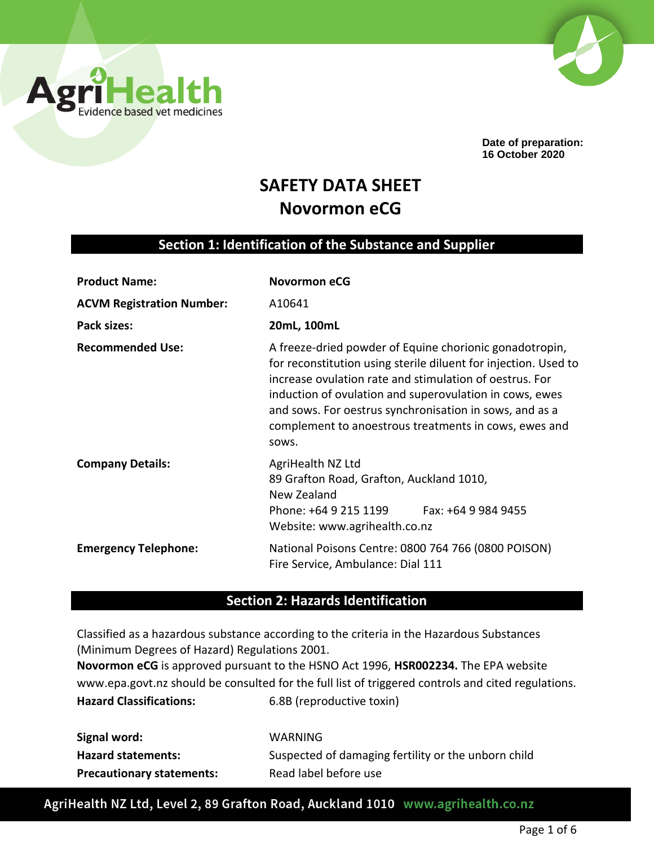



**Date of preparation: 16 October 2020**

# **SAFETY DATA SHEET Novormon eCG**

## **Section 1: Identification of the Substance and Supplier**

| <b>Product Name:</b>             | <b>Novormon eCG</b>                                                                                                                                                                                                                                                                                                                                                           |  |
|----------------------------------|-------------------------------------------------------------------------------------------------------------------------------------------------------------------------------------------------------------------------------------------------------------------------------------------------------------------------------------------------------------------------------|--|
| <b>ACVM Registration Number:</b> | A10641                                                                                                                                                                                                                                                                                                                                                                        |  |
| Pack sizes:                      | 20mL, 100mL                                                                                                                                                                                                                                                                                                                                                                   |  |
| <b>Recommended Use:</b>          | A freeze-dried powder of Equine chorionic gonadotropin,<br>for reconstitution using sterile diluent for injection. Used to<br>increase ovulation rate and stimulation of oestrus. For<br>induction of ovulation and superovulation in cows, ewes<br>and sows. For oestrus synchronisation in sows, and as a<br>complement to anoestrous treatments in cows, ewes and<br>SOWS. |  |
| <b>Company Details:</b>          | AgriHealth NZ Ltd<br>89 Grafton Road, Grafton, Auckland 1010,<br>New Zealand<br>Phone: +64 9 215 1199<br>Fax: +64 9 984 9455<br>Website: www.agrihealth.co.nz                                                                                                                                                                                                                 |  |
| <b>Emergency Telephone:</b>      | National Poisons Centre: 0800 764 766 (0800 POISON)<br>Fire Service, Ambulance: Dial 111                                                                                                                                                                                                                                                                                      |  |

# **Section 2: Hazards Identification**

Classified as a hazardous substance according to the criteria in the Hazardous Substances (Minimum Degrees of Hazard) Regulations 2001. **Novormon eCG** is approved pursuant to the HSNO Act 1996, **HSR002234.** The EPA website

www.epa.govt.nz should be consulted for the full list of triggered controls and cited regulations. **Hazard Classifications:** 6.8B (reproductive toxin)

| Signal word:                     | WARNING                                             |
|----------------------------------|-----------------------------------------------------|
| <b>Hazard statements:</b>        | Suspected of damaging fertility or the unborn child |
| <b>Precautionary statements:</b> | Read label before use                               |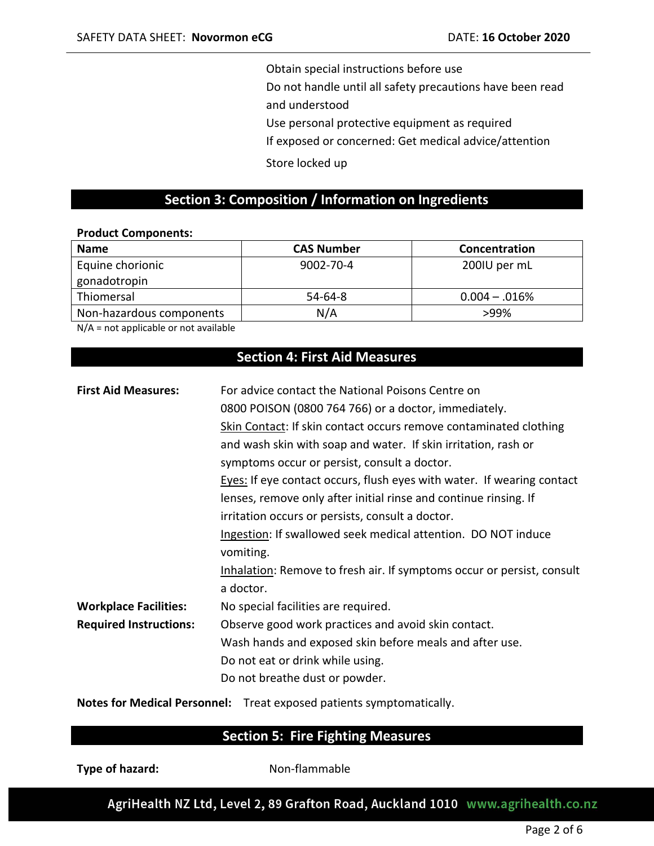Obtain special instructions before use

Do not handle until all safety precautions have been read

and understood

Use personal protective equipment as required

If exposed or concerned: Get medical advice/attention

Store locked up

#### **Section 3: Composition / Information on Ingredients**

#### **Product Components:**

| <b>Name</b>              | <b>CAS Number</b> | Concentration     |
|--------------------------|-------------------|-------------------|
| Equine chorionic         | $9002 - 70 - 4$   | 200IU per mL      |
| gonadotropin             |                   |                   |
| Thiomersal               | $54-64-8$         | $0.004 - 0.016\%$ |
| Non-hazardous components | N/A               | $>99\%$           |

N/A = not applicable or not available

# **Section 4: First Aid Measures**

| <b>First Aid Measures:</b>    | For advice contact the National Poisons Centre on                                 |
|-------------------------------|-----------------------------------------------------------------------------------|
|                               | 0800 POISON (0800 764 766) or a doctor, immediately.                              |
|                               | Skin Contact: If skin contact occurs remove contaminated clothing                 |
|                               | and wash skin with soap and water. If skin irritation, rash or                    |
|                               | symptoms occur or persist, consult a doctor.                                      |
|                               | Eyes: If eye contact occurs, flush eyes with water. If wearing contact            |
|                               | lenses, remove only after initial rinse and continue rinsing. If                  |
|                               | irritation occurs or persists, consult a doctor.                                  |
|                               | Ingestion: If swallowed seek medical attention. DO NOT induce                     |
|                               | vomiting.                                                                         |
|                               | Inhalation: Remove to fresh air. If symptoms occur or persist, consult            |
|                               | a doctor.                                                                         |
| <b>Workplace Facilities:</b>  | No special facilities are required.                                               |
| <b>Required Instructions:</b> | Observe good work practices and avoid skin contact.                               |
|                               | Wash hands and exposed skin before meals and after use.                           |
|                               | Do not eat or drink while using.                                                  |
|                               | Do not breathe dust or powder.                                                    |
|                               | Nichola Colonial alle contra coloniale come con coloniale contra contra contra li |

**Notes for Medical Personnel:** Treat exposed patients symptomatically.

### **Section 5: Fire Fighting Measures**

**Type of hazard:** Non-flammable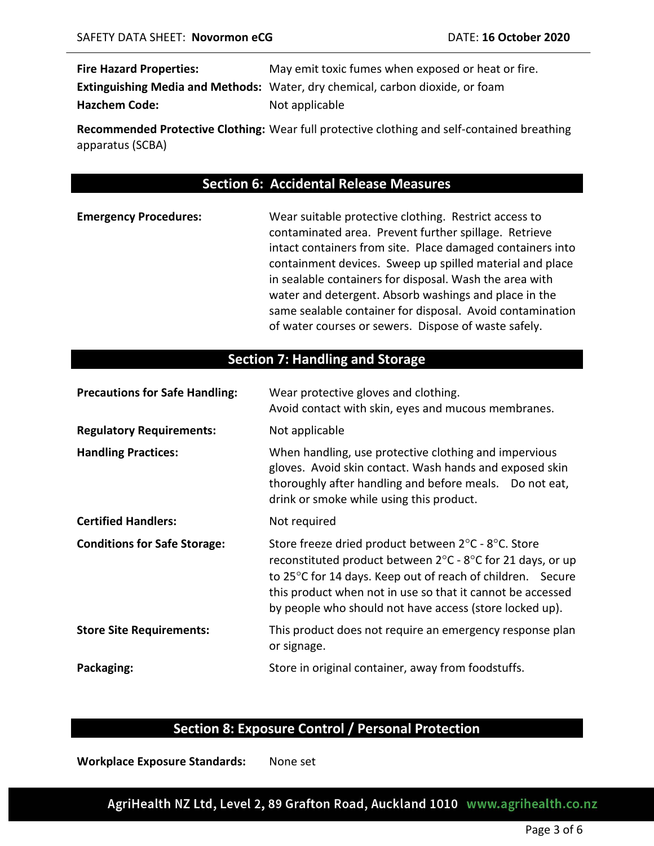| <b>Fire Hazard Properties:</b> | May emit toxic fumes when exposed or heat or fire.                                   |
|--------------------------------|--------------------------------------------------------------------------------------|
|                                | <b>Extinguishing Media and Methods:</b> Water, dry chemical, carbon dioxide, or foam |
| <b>Hazchem Code:</b>           | Not applicable                                                                       |

**Recommended Protective Clothing:** Wear full protective clothing and self-contained breathing apparatus (SCBA)

# **Section 6: Accidental Release Measures**

| <b>Emergency Procedures:</b> | Wear suitable protective clothing. Restrict access to      |
|------------------------------|------------------------------------------------------------|
|                              | contaminated area. Prevent further spillage. Retrieve      |
|                              | intact containers from site. Place damaged containers into |
|                              | containment devices. Sweep up spilled material and place   |
|                              | in sealable containers for disposal. Wash the area with    |
|                              | water and detergent. Absorb washings and place in the      |
|                              | same sealable container for disposal. Avoid contamination  |
|                              | of water courses or sewers. Dispose of waste safely.       |

# **Section 7: Handling and Storage**

| <b>Precautions for Safe Handling:</b> | Wear protective gloves and clothing.<br>Avoid contact with skin, eyes and mucous membranes.                                                                                                                                                                                                                                                      |
|---------------------------------------|--------------------------------------------------------------------------------------------------------------------------------------------------------------------------------------------------------------------------------------------------------------------------------------------------------------------------------------------------|
| <b>Regulatory Requirements:</b>       | Not applicable                                                                                                                                                                                                                                                                                                                                   |
| <b>Handling Practices:</b>            | When handling, use protective clothing and impervious<br>gloves. Avoid skin contact. Wash hands and exposed skin<br>thoroughly after handling and before meals. Do not eat,<br>drink or smoke while using this product.                                                                                                                          |
| <b>Certified Handlers:</b>            | Not required                                                                                                                                                                                                                                                                                                                                     |
| <b>Conditions for Safe Storage:</b>   | Store freeze dried product between $2^{\circ}$ C - $8^{\circ}$ C. Store<br>reconstituted product between $2^{\circ}$ C - $8^{\circ}$ C for 21 days, or up<br>to 25°C for 14 days. Keep out of reach of children. Secure<br>this product when not in use so that it cannot be accessed<br>by people who should not have access (store locked up). |
| <b>Store Site Requirements:</b>       | This product does not require an emergency response plan<br>or signage.                                                                                                                                                                                                                                                                          |
| Packaging:                            | Store in original container, away from foodstuffs.                                                                                                                                                                                                                                                                                               |

### **Section 8: Exposure Control / Personal Protection**

**Workplace Exposure Standards:** None set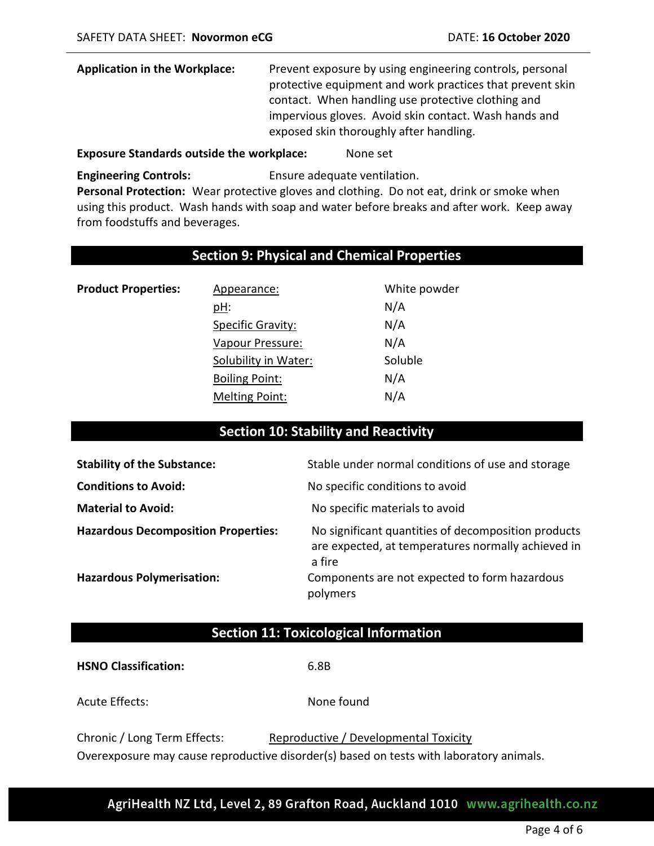| <b>Application in the Workplace:</b> | Prevent exposure by using engineering controls, personal  |
|--------------------------------------|-----------------------------------------------------------|
|                                      | protective equipment and work practices that prevent skin |
|                                      | contact. When handling use protective clothing and        |
|                                      | impervious gloves. Avoid skin contact. Wash hands and     |
|                                      | exposed skin thoroughly after handling.                   |

#### **Exposure Standards outside the workplace:** None set

**Engineering Controls:** Ensure adequate ventilation.

**Personal Protection:** Wear protective gloves and clothing. Do not eat, drink or smoke when using this product. Wash hands with soap and water before breaks and after work. Keep away from foodstuffs and beverages.

### **Section 9: Physical and Chemical Properties**

| <b>Product Properties:</b> | Appearance:           | White powder |
|----------------------------|-----------------------|--------------|
|                            | <u>pH:</u>            | N/A          |
|                            | Specific Gravity:     | N/A          |
|                            | Vapour Pressure:      | N/A          |
|                            | Solubility in Water:  | Soluble      |
|                            | <b>Boiling Point:</b> | N/A          |
|                            | <b>Melting Point:</b> | N/A          |

# **Section 10: Stability and Reactivity**

| <b>Stability of the Substance:</b>         | Stable under normal conditions of use and storage                                                                   |
|--------------------------------------------|---------------------------------------------------------------------------------------------------------------------|
| <b>Conditions to Avoid:</b>                | No specific conditions to avoid                                                                                     |
| <b>Material to Avoid:</b>                  | No specific materials to avoid                                                                                      |
| <b>Hazardous Decomposition Properties:</b> | No significant quantities of decomposition products<br>are expected, at temperatures normally achieved in<br>a fire |
| <b>Hazardous Polymerisation:</b>           | Components are not expected to form hazardous<br>polymers                                                           |

#### **Section 11: Toxicological Information**

**HSNO Classification:** 6.8B

Acute Effects: None found

| Chronic / Long Term Effects: | Reproductive / Developmental Toxicity                                                   |
|------------------------------|-----------------------------------------------------------------------------------------|
|                              | Overexposure may cause reproductive disorder(s) based on tests with laboratory animals. |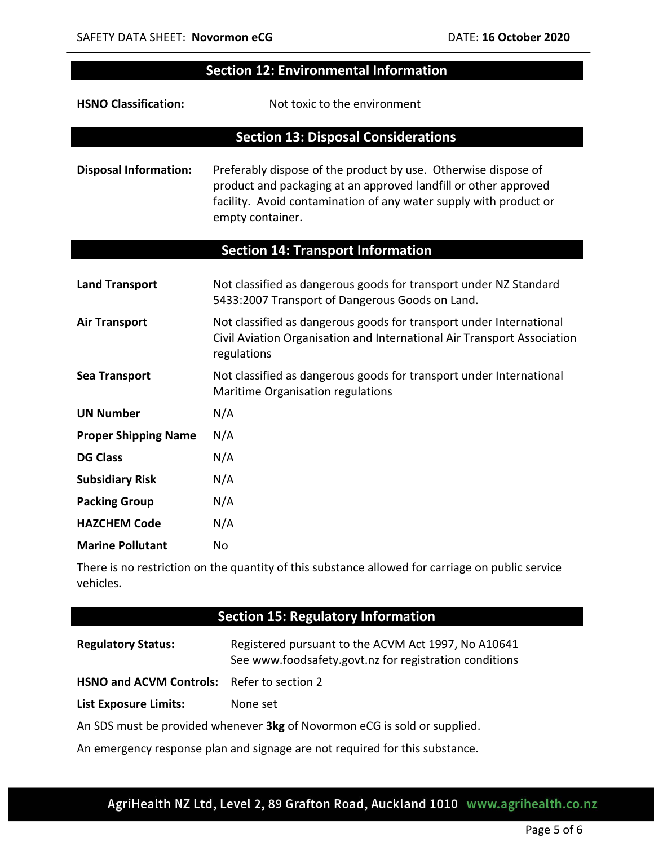I

 $\overline{\phantom{a}}$ 

# **Section 12: Environmental Information**

| <b>HSNO Classification:</b>  | Not toxic to the environment                                                                                                                                                                                               |
|------------------------------|----------------------------------------------------------------------------------------------------------------------------------------------------------------------------------------------------------------------------|
|                              | <b>Section 13: Disposal Considerations</b>                                                                                                                                                                                 |
| <b>Disposal Information:</b> | Preferably dispose of the product by use. Otherwise dispose of<br>product and packaging at an approved landfill or other approved<br>facility. Avoid contamination of any water supply with product or<br>empty container. |
|                              | <b>Section 14: Transport Information</b>                                                                                                                                                                                   |
| <b>Land Transport</b>        | Not classified as dangerous goods for transport under NZ Standard<br>5433:2007 Transport of Dangerous Goods on Land.                                                                                                       |
| <b>Air Transport</b>         | Not classified as dangerous goods for transport under International<br>Civil Aviation Organisation and International Air Transport Association<br>regulations                                                              |
| <b>Sea Transport</b>         | Not classified as dangerous goods for transport under International<br>Maritime Organisation regulations                                                                                                                   |
| <b>UN Number</b>             | N/A                                                                                                                                                                                                                        |
| <b>Proper Shipping Name</b>  | N/A                                                                                                                                                                                                                        |
| <b>DG Class</b>              | N/A                                                                                                                                                                                                                        |
| <b>Subsidiary Risk</b>       | N/A                                                                                                                                                                                                                        |
| <b>Packing Group</b>         | N/A                                                                                                                                                                                                                        |
| <b>HAZCHEM Code</b>          | N/A                                                                                                                                                                                                                        |
| <b>Marine Pollutant</b>      | No                                                                                                                                                                                                                         |

There is no restriction on the quantity of this substance allowed for carriage on public service vehicles.

| <b>Section 15: Regulatory Information</b>                                                                     |  |
|---------------------------------------------------------------------------------------------------------------|--|
| Registered pursuant to the ACVM Act 1997, No A10641<br>See www.foodsafety.govt.nz for registration conditions |  |
| <b>HSNO and ACVM Controls:</b> Refer to section 2                                                             |  |
| None set                                                                                                      |  |
| An SDS must be provided whenever 3kg of Novormon eCG is sold or supplied.                                     |  |
|                                                                                                               |  |

An emergency response plan and signage are not required for this substance.